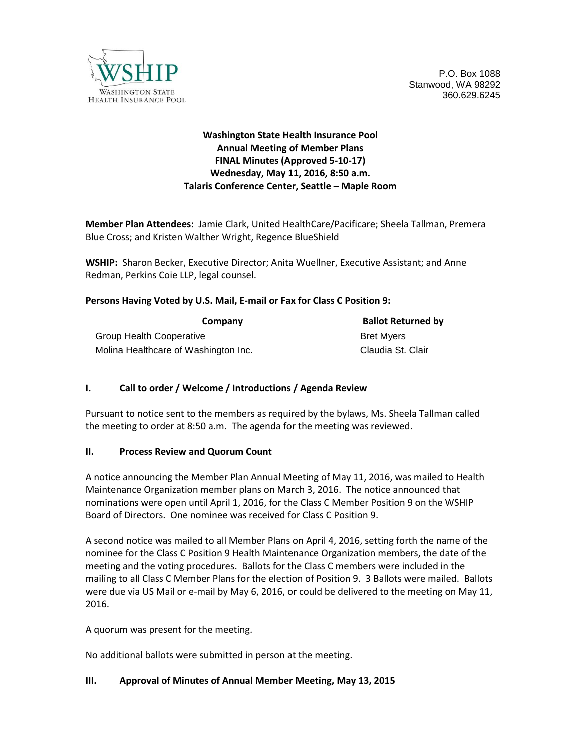

P.O. Box 1088 Stanwood, WA 98292 360.629.6245

# **Washington State Health Insurance Pool Annual Meeting of Member Plans FINAL Minutes (Approved 5-10-17) Wednesday, May 11, 2016, 8:50 a.m. Talaris Conference Center, Seattle – Maple Room**

**Member Plan Attendees:** Jamie Clark, United HealthCare/Pacificare; Sheela Tallman, Premera Blue Cross; and Kristen Walther Wright, Regence BlueShield

**WSHIP:** Sharon Becker, Executive Director; Anita Wuellner, Executive Assistant; and Anne Redman, Perkins Coie LLP, legal counsel.

#### **Persons Having Voted by U.S. Mail, E-mail or Fax for Class C Position 9:**

| Company                              | <b>Ballot Returned by</b> |
|--------------------------------------|---------------------------|
| <b>Group Health Cooperative</b>      | <b>Bret Mvers</b>         |
| Molina Healthcare of Washington Inc. | Claudia St. Clair         |

## **I. Call to order / Welcome / Introductions / Agenda Review**

Pursuant to notice sent to the members as required by the bylaws, Ms. Sheela Tallman called the meeting to order at 8:50 a.m. The agenda for the meeting was reviewed.

#### **II. Process Review and Quorum Count**

A notice announcing the Member Plan Annual Meeting of May 11, 2016, was mailed to Health Maintenance Organization member plans on March 3, 2016. The notice announced that nominations were open until April 1, 2016, for the Class C Member Position 9 on the WSHIP Board of Directors. One nominee was received for Class C Position 9.

A second notice was mailed to all Member Plans on April 4, 2016, setting forth the name of the nominee for the Class C Position 9 Health Maintenance Organization members, the date of the meeting and the voting procedures. Ballots for the Class C members were included in the mailing to all Class C Member Plans for the election of Position 9. 3 Ballots were mailed. Ballots were due via US Mail or e-mail by May 6, 2016, or could be delivered to the meeting on May 11, 2016.

A quorum was present for the meeting.

No additional ballots were submitted in person at the meeting.

#### **III. Approval of Minutes of Annual Member Meeting, May 13, 2015**